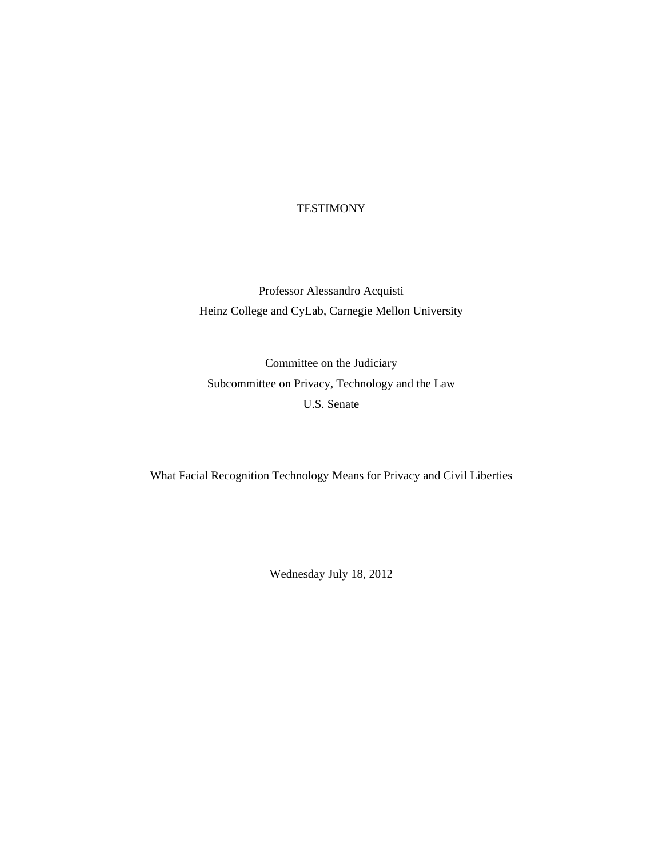# **TESTIMONY**

Professor Alessandro Acquisti Heinz College and CyLab, Carnegie Mellon University

Committee on the Judiciary Subcommittee on Privacy, Technology and the Law U.S. Senate

What Facial Recognition Technology Means for Privacy and Civil Liberties

Wednesday July 18, 2012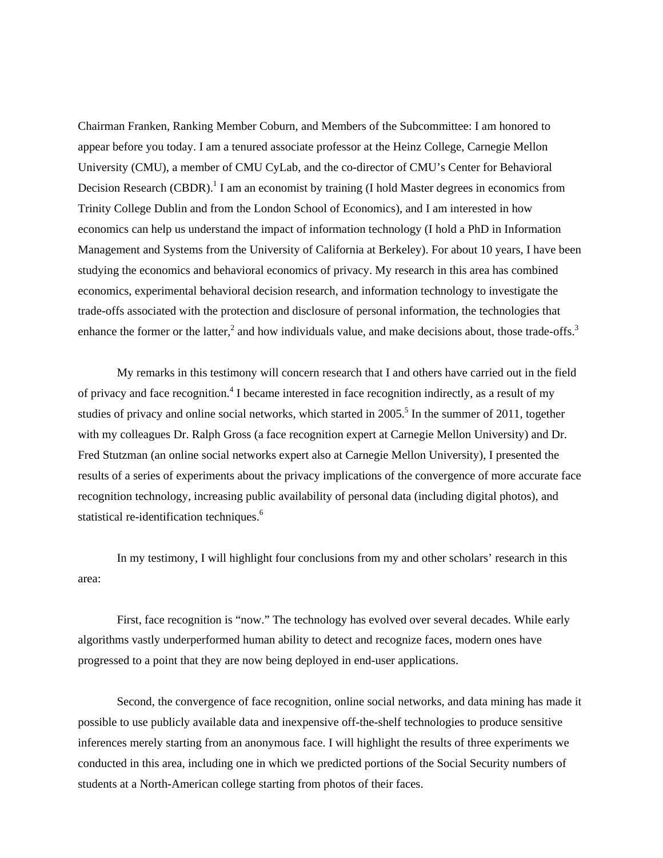Chairman Franken, Ranking Member Coburn, and Members of the Subcommittee: I am honored to appear before you today. I am a tenured associate professor at the Heinz College, Carnegie Mellon University (CMU), a member of CMU CyLab, and the co-director of CMU's Center for Behavioral Decision Research (CBDR).<sup>1</sup> I am an economist by training (I hold Master degrees in economics from Trinity College Dublin and from the London School of Economics), and I am interested in how economics can help us understand the impact of information technology (I hold a PhD in Information Management and Systems from the University of California at Berkeley). For about 10 years, I have been studying the economics and behavioral economics of privacy. My research in this area has combined economics, experimental behavioral decision research, and information technology to investigate the trade-offs associated with the protection and disclosure of personal information, the technologies that enhance the former or the latter,<sup>2</sup> and how individuals value, and make decisions about, those trade-offs.<sup>3</sup>

My remarks in this testimony will concern research that I and others have carried out in the field of privacy and face recognition.<sup>4</sup> I became interested in face recognition indirectly, as a result of my studies of privacy and online social networks, which started in  $2005$ <sup>5</sup>. In the summer of 2011, together with my colleagues Dr. Ralph Gross (a face recognition expert at Carnegie Mellon University) and Dr. Fred Stutzman (an online social networks expert also at Carnegie Mellon University), I presented the results of a series of experiments about the privacy implications of the convergence of more accurate face recognition technology, increasing public availability of personal data (including digital photos), and statistical re-identification techniques.<sup>6</sup>

In my testimony, I will highlight four conclusions from my and other scholars' research in this area:

First, face recognition is "now." The technology has evolved over several decades. While early algorithms vastly underperformed human ability to detect and recognize faces, modern ones have progressed to a point that they are now being deployed in end-user applications.

Second, the convergence of face recognition, online social networks, and data mining has made it possible to use publicly available data and inexpensive off-the-shelf technologies to produce sensitive inferences merely starting from an anonymous face. I will highlight the results of three experiments we conducted in this area, including one in which we predicted portions of the Social Security numbers of students at a North-American college starting from photos of their faces.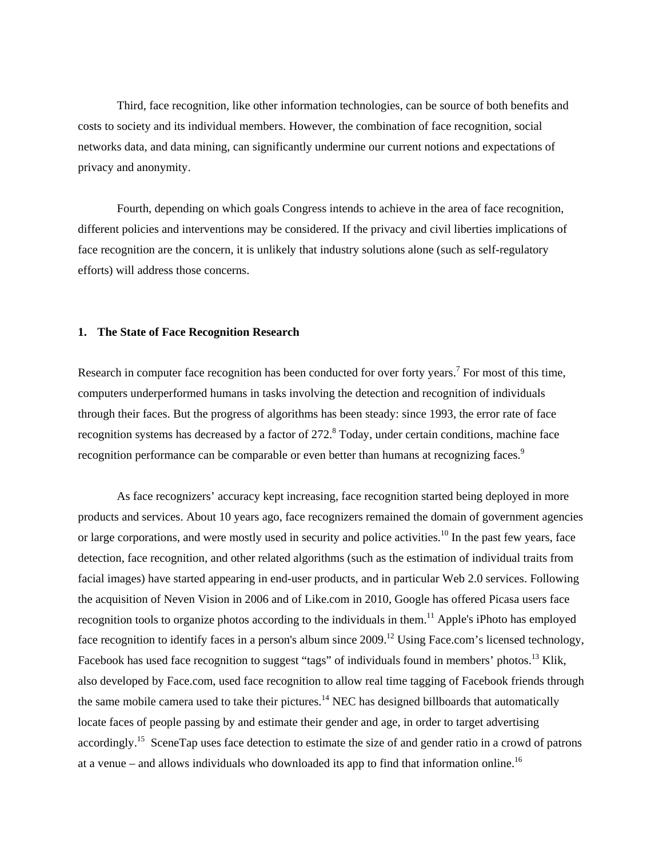Third, face recognition, like other information technologies, can be source of both benefits and costs to society and its individual members. However, the combination of face recognition, social networks data, and data mining, can significantly undermine our current notions and expectations of privacy and anonymity.

Fourth, depending on which goals Congress intends to achieve in the area of face recognition, different policies and interventions may be considered. If the privacy and civil liberties implications of face recognition are the concern, it is unlikely that industry solutions alone (such as self-regulatory efforts) will address those concerns.

# **1. The State of Face Recognition Research**

Research in computer face recognition has been conducted for over forty years.<sup>7</sup> For most of this time, computers underperformed humans in tasks involving the detection and recognition of individuals through their faces. But the progress of algorithms has been steady: since 1993, the error rate of face recognition systems has decreased by a factor of 272.<sup>8</sup> Today, under certain conditions, machine face recognition performance can be comparable or even better than humans at recognizing faces.<sup>9</sup>

As face recognizers' accuracy kept increasing, face recognition started being deployed in more products and services. About 10 years ago, face recognizers remained the domain of government agencies or large corporations, and were mostly used in security and police activities.<sup>10</sup> In the past few years, face detection, face recognition, and other related algorithms (such as the estimation of individual traits from facial images) have started appearing in end-user products, and in particular Web 2.0 services. Following the acquisition of Neven Vision in 2006 and of Like.com in 2010, Google has offered Picasa users face recognition tools to organize photos according to the individuals in them.<sup>11</sup> Apple's iPhoto has employed face recognition to identify faces in a person's album since 2009.<sup>12</sup> Using Face.com's licensed technology, Facebook has used face recognition to suggest "tags" of individuals found in members' photos.<sup>13</sup> Klik, also developed by Face.com, used face recognition to allow real time tagging of Facebook friends through the same mobile camera used to take their pictures.<sup>14</sup> NEC has designed billboards that automatically locate faces of people passing by and estimate their gender and age, in order to target advertising accordingly.15 SceneTap uses face detection to estimate the size of and gender ratio in a crowd of patrons at a venue – and allows individuals who downloaded its app to find that information online.<sup>16</sup>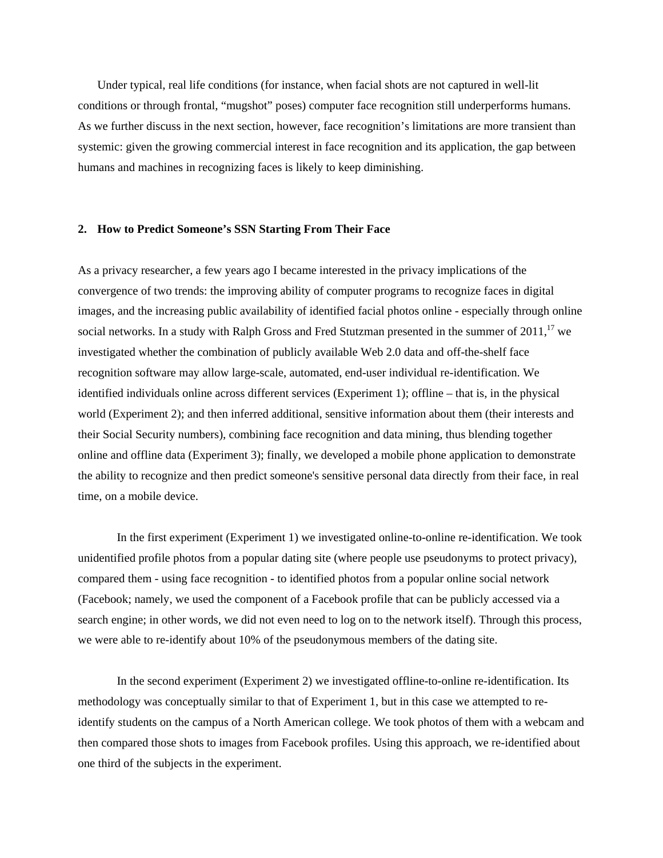Under typical, real life conditions (for instance, when facial shots are not captured in well-lit conditions or through frontal, "mugshot" poses) computer face recognition still underperforms humans. As we further discuss in the next section, however, face recognition's limitations are more transient than systemic: given the growing commercial interest in face recognition and its application, the gap between humans and machines in recognizing faces is likely to keep diminishing.

# **2. How to Predict Someone's SSN Starting From Their Face**

As a privacy researcher, a few years ago I became interested in the privacy implications of the convergence of two trends: the improving ability of computer programs to recognize faces in digital images, and the increasing public availability of identified facial photos online - especially through online social networks. In a study with Ralph Gross and Fred Stutzman presented in the summer of  $2011$ ,<sup>17</sup> we investigated whether the combination of publicly available Web 2.0 data and off-the-shelf face recognition software may allow large-scale, automated, end-user individual re-identification. We identified individuals online across different services (Experiment 1); offline – that is, in the physical world (Experiment 2); and then inferred additional, sensitive information about them (their interests and their Social Security numbers), combining face recognition and data mining, thus blending together online and offline data (Experiment 3); finally, we developed a mobile phone application to demonstrate the ability to recognize and then predict someone's sensitive personal data directly from their face, in real time, on a mobile device.

In the first experiment (Experiment 1) we investigated online-to-online re-identification. We took unidentified profile photos from a popular dating site (where people use pseudonyms to protect privacy), compared them - using face recognition - to identified photos from a popular online social network (Facebook; namely, we used the component of a Facebook profile that can be publicly accessed via a search engine; in other words, we did not even need to log on to the network itself). Through this process, we were able to re-identify about 10% of the pseudonymous members of the dating site.

In the second experiment (Experiment 2) we investigated offline-to-online re-identification. Its methodology was conceptually similar to that of Experiment 1, but in this case we attempted to reidentify students on the campus of a North American college. We took photos of them with a webcam and then compared those shots to images from Facebook profiles. Using this approach, we re-identified about one third of the subjects in the experiment.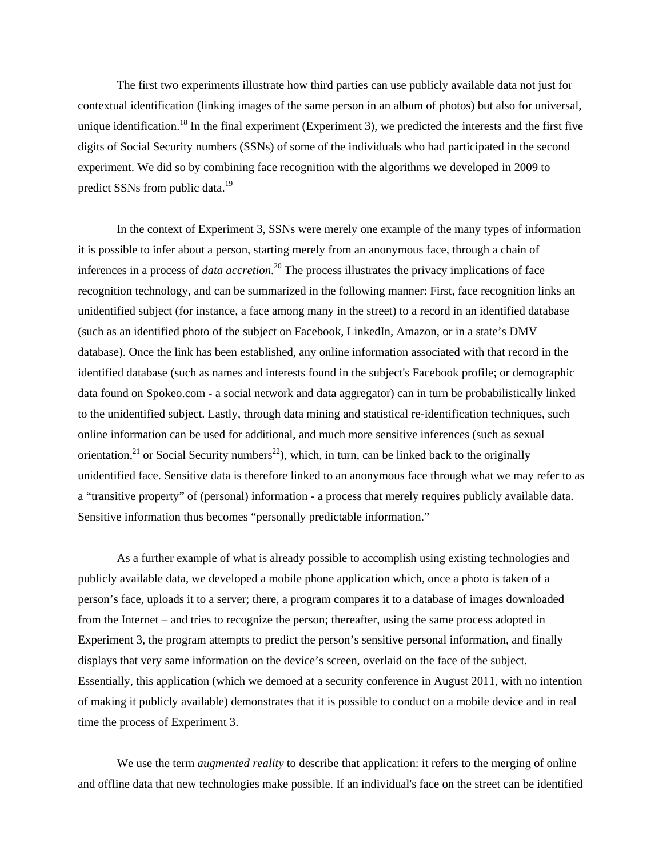The first two experiments illustrate how third parties can use publicly available data not just for contextual identification (linking images of the same person in an album of photos) but also for universal, unique identification.<sup>18</sup> In the final experiment (Experiment 3), we predicted the interests and the first five digits of Social Security numbers (SSNs) of some of the individuals who had participated in the second experiment. We did so by combining face recognition with the algorithms we developed in 2009 to predict SSNs from public data.<sup>19</sup>

In the context of Experiment 3, SSNs were merely one example of the many types of information it is possible to infer about a person, starting merely from an anonymous face, through a chain of inferences in a process of *data accretion*. 20 The process illustrates the privacy implications of face recognition technology, and can be summarized in the following manner: First, face recognition links an unidentified subject (for instance, a face among many in the street) to a record in an identified database (such as an identified photo of the subject on Facebook, LinkedIn, Amazon, or in a state's DMV database). Once the link has been established, any online information associated with that record in the identified database (such as names and interests found in the subject's Facebook profile; or demographic data found on Spokeo.com - a social network and data aggregator) can in turn be probabilistically linked to the unidentified subject. Lastly, through data mining and statistical re-identification techniques, such online information can be used for additional, and much more sensitive inferences (such as sexual orientation,<sup>21</sup> or Social Security numbers<sup>22</sup>), which, in turn, can be linked back to the originally unidentified face. Sensitive data is therefore linked to an anonymous face through what we may refer to as a "transitive property" of (personal) information - a process that merely requires publicly available data. Sensitive information thus becomes "personally predictable information."

As a further example of what is already possible to accomplish using existing technologies and publicly available data, we developed a mobile phone application which, once a photo is taken of a person's face, uploads it to a server; there, a program compares it to a database of images downloaded from the Internet – and tries to recognize the person; thereafter, using the same process adopted in Experiment 3, the program attempts to predict the person's sensitive personal information, and finally displays that very same information on the device's screen, overlaid on the face of the subject. Essentially, this application (which we demoed at a security conference in August 2011, with no intention of making it publicly available) demonstrates that it is possible to conduct on a mobile device and in real time the process of Experiment 3.

We use the term *augmented reality* to describe that application: it refers to the merging of online and offline data that new technologies make possible. If an individual's face on the street can be identified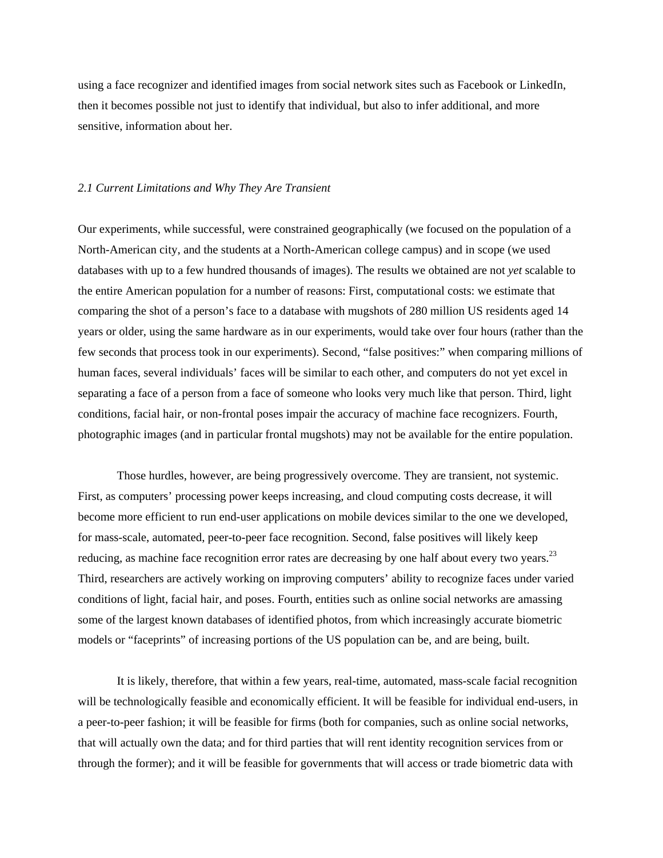using a face recognizer and identified images from social network sites such as Facebook or LinkedIn, then it becomes possible not just to identify that individual, but also to infer additional, and more sensitive, information about her.

#### *2.1 Current Limitations and Why They Are Transient*

Our experiments, while successful, were constrained geographically (we focused on the population of a North-American city, and the students at a North-American college campus) and in scope (we used databases with up to a few hundred thousands of images). The results we obtained are not *yet* scalable to the entire American population for a number of reasons: First, computational costs: we estimate that comparing the shot of a person's face to a database with mugshots of 280 million US residents aged 14 years or older, using the same hardware as in our experiments, would take over four hours (rather than the few seconds that process took in our experiments). Second, "false positives:" when comparing millions of human faces, several individuals' faces will be similar to each other, and computers do not yet excel in separating a face of a person from a face of someone who looks very much like that person. Third, light conditions, facial hair, or non-frontal poses impair the accuracy of machine face recognizers. Fourth, photographic images (and in particular frontal mugshots) may not be available for the entire population.

Those hurdles, however, are being progressively overcome. They are transient, not systemic. First, as computers' processing power keeps increasing, and cloud computing costs decrease, it will become more efficient to run end-user applications on mobile devices similar to the one we developed, for mass-scale, automated, peer-to-peer face recognition. Second, false positives will likely keep reducing, as machine face recognition error rates are decreasing by one half about every two years.<sup>23</sup> Third, researchers are actively working on improving computers' ability to recognize faces under varied conditions of light, facial hair, and poses. Fourth, entities such as online social networks are amassing some of the largest known databases of identified photos, from which increasingly accurate biometric models or "faceprints" of increasing portions of the US population can be, and are being, built.

It is likely, therefore, that within a few years, real-time, automated, mass-scale facial recognition will be technologically feasible and economically efficient. It will be feasible for individual end-users, in a peer-to-peer fashion; it will be feasible for firms (both for companies, such as online social networks, that will actually own the data; and for third parties that will rent identity recognition services from or through the former); and it will be feasible for governments that will access or trade biometric data with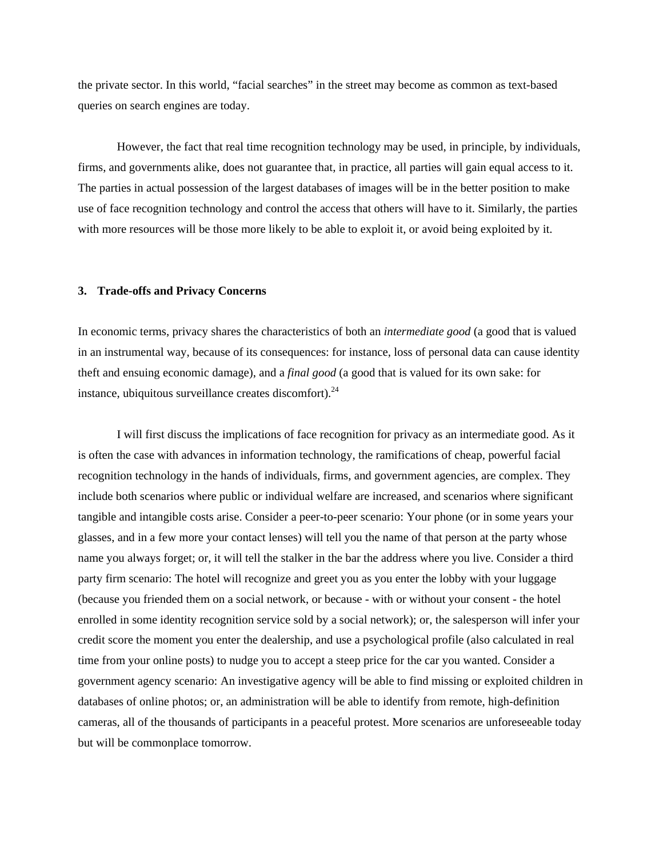the private sector. In this world, "facial searches" in the street may become as common as text-based queries on search engines are today.

However, the fact that real time recognition technology may be used, in principle, by individuals, firms, and governments alike, does not guarantee that, in practice, all parties will gain equal access to it. The parties in actual possession of the largest databases of images will be in the better position to make use of face recognition technology and control the access that others will have to it. Similarly, the parties with more resources will be those more likely to be able to exploit it, or avoid being exploited by it.

# **3. Trade-offs and Privacy Concerns**

In economic terms, privacy shares the characteristics of both an *intermediate good* (a good that is valued in an instrumental way, because of its consequences: for instance, loss of personal data can cause identity theft and ensuing economic damage), and a *final good* (a good that is valued for its own sake: for instance, ubiquitous surveillance creates discomfort). $^{24}$ 

I will first discuss the implications of face recognition for privacy as an intermediate good. As it is often the case with advances in information technology, the ramifications of cheap, powerful facial recognition technology in the hands of individuals, firms, and government agencies, are complex. They include both scenarios where public or individual welfare are increased, and scenarios where significant tangible and intangible costs arise. Consider a peer-to-peer scenario: Your phone (or in some years your glasses, and in a few more your contact lenses) will tell you the name of that person at the party whose name you always forget; or, it will tell the stalker in the bar the address where you live. Consider a third party firm scenario: The hotel will recognize and greet you as you enter the lobby with your luggage (because you friended them on a social network, or because - with or without your consent - the hotel enrolled in some identity recognition service sold by a social network); or, the salesperson will infer your credit score the moment you enter the dealership, and use a psychological profile (also calculated in real time from your online posts) to nudge you to accept a steep price for the car you wanted. Consider a government agency scenario: An investigative agency will be able to find missing or exploited children in databases of online photos; or, an administration will be able to identify from remote, high-definition cameras, all of the thousands of participants in a peaceful protest. More scenarios are unforeseeable today but will be commonplace tomorrow.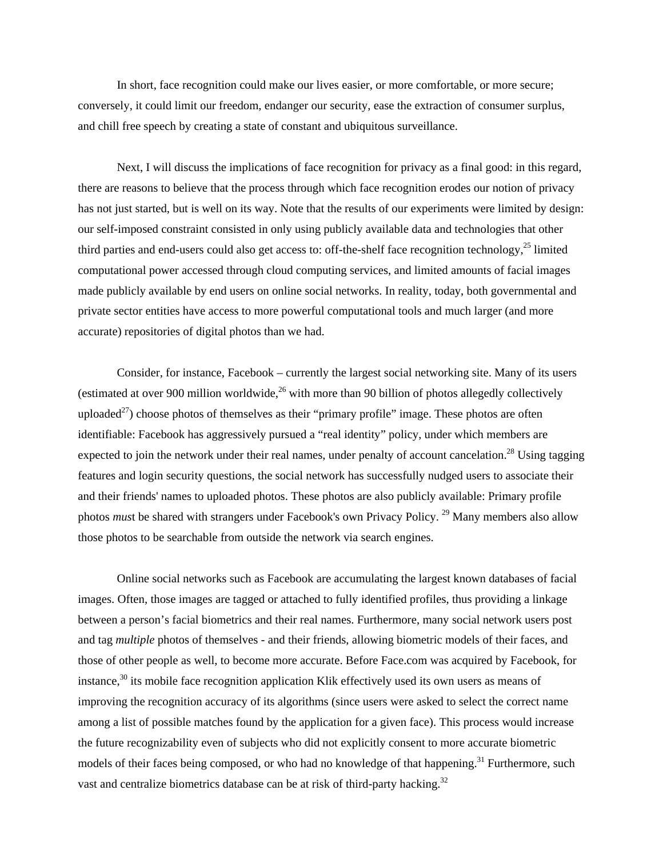In short, face recognition could make our lives easier, or more comfortable, or more secure; conversely, it could limit our freedom, endanger our security, ease the extraction of consumer surplus, and chill free speech by creating a state of constant and ubiquitous surveillance.

 Next, I will discuss the implications of face recognition for privacy as a final good: in this regard, there are reasons to believe that the process through which face recognition erodes our notion of privacy has not just started, but is well on its way. Note that the results of our experiments were limited by design: our self-imposed constraint consisted in only using publicly available data and technologies that other third parties and end-users could also get access to: off-the-shelf face recognition technology,  $^{25}$  limited computational power accessed through cloud computing services, and limited amounts of facial images made publicly available by end users on online social networks. In reality, today, both governmental and private sector entities have access to more powerful computational tools and much larger (and more accurate) repositories of digital photos than we had.

Consider, for instance, Facebook – currently the largest social networking site. Many of its users (estimated at over 900 million worldwide,<sup>26</sup> with more than 90 billion of photos allegedly collectively uploaded $^{27}$ ) choose photos of themselves as their "primary profile" image. These photos are often identifiable: Facebook has aggressively pursued a "real identity" policy, under which members are expected to join the network under their real names, under penalty of account cancelation.<sup>28</sup> Using tagging features and login security questions, the social network has successfully nudged users to associate their and their friends' names to uploaded photos. These photos are also publicly available: Primary profile photos *mus*t be shared with strangers under Facebook's own Privacy Policy.<sup>29</sup> Many members also allow those photos to be searchable from outside the network via search engines.

Online social networks such as Facebook are accumulating the largest known databases of facial images. Often, those images are tagged or attached to fully identified profiles, thus providing a linkage between a person's facial biometrics and their real names. Furthermore, many social network users post and tag *multiple* photos of themselves - and their friends, allowing biometric models of their faces, and those of other people as well, to become more accurate. Before Face.com was acquired by Facebook, for instance, $30$  its mobile face recognition application Klik effectively used its own users as means of improving the recognition accuracy of its algorithms (since users were asked to select the correct name among a list of possible matches found by the application for a given face). This process would increase the future recognizability even of subjects who did not explicitly consent to more accurate biometric models of their faces being composed, or who had no knowledge of that happening.<sup>31</sup> Furthermore, such vast and centralize biometrics database can be at risk of third-party hacking.<sup>32</sup>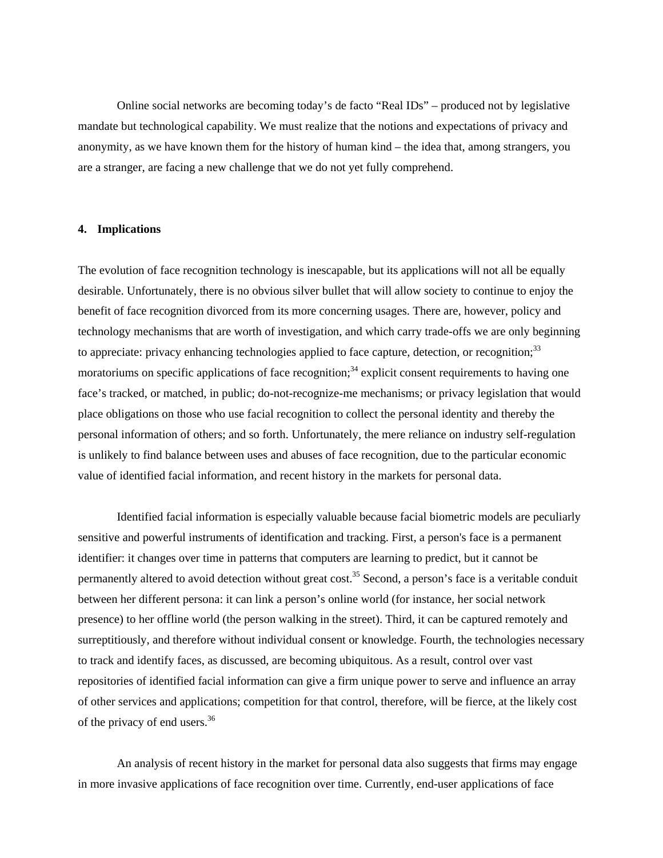Online social networks are becoming today's de facto "Real IDs" – produced not by legislative mandate but technological capability. We must realize that the notions and expectations of privacy and anonymity, as we have known them for the history of human kind – the idea that, among strangers, you are a stranger, are facing a new challenge that we do not yet fully comprehend.

# **4. Implications**

The evolution of face recognition technology is inescapable, but its applications will not all be equally desirable. Unfortunately, there is no obvious silver bullet that will allow society to continue to enjoy the benefit of face recognition divorced from its more concerning usages. There are, however, policy and technology mechanisms that are worth of investigation, and which carry trade-offs we are only beginning to appreciate: privacy enhancing technologies applied to face capture, detection, or recognition;<sup>33</sup> moratoriums on specific applications of face recognition;<sup>34</sup> explicit consent requirements to having one face's tracked, or matched, in public; do-not-recognize-me mechanisms; or privacy legislation that would place obligations on those who use facial recognition to collect the personal identity and thereby the personal information of others; and so forth. Unfortunately, the mere reliance on industry self-regulation is unlikely to find balance between uses and abuses of face recognition, due to the particular economic value of identified facial information, and recent history in the markets for personal data.

Identified facial information is especially valuable because facial biometric models are peculiarly sensitive and powerful instruments of identification and tracking. First, a person's face is a permanent identifier: it changes over time in patterns that computers are learning to predict, but it cannot be permanently altered to avoid detection without great cost.<sup>35</sup> Second, a person's face is a veritable conduit between her different persona: it can link a person's online world (for instance, her social network presence) to her offline world (the person walking in the street). Third, it can be captured remotely and surreptitiously, and therefore without individual consent or knowledge. Fourth, the technologies necessary to track and identify faces, as discussed, are becoming ubiquitous. As a result, control over vast repositories of identified facial information can give a firm unique power to serve and influence an array of other services and applications; competition for that control, therefore, will be fierce, at the likely cost of the privacy of end users.<sup>36</sup>

 An analysis of recent history in the market for personal data also suggests that firms may engage in more invasive applications of face recognition over time. Currently, end-user applications of face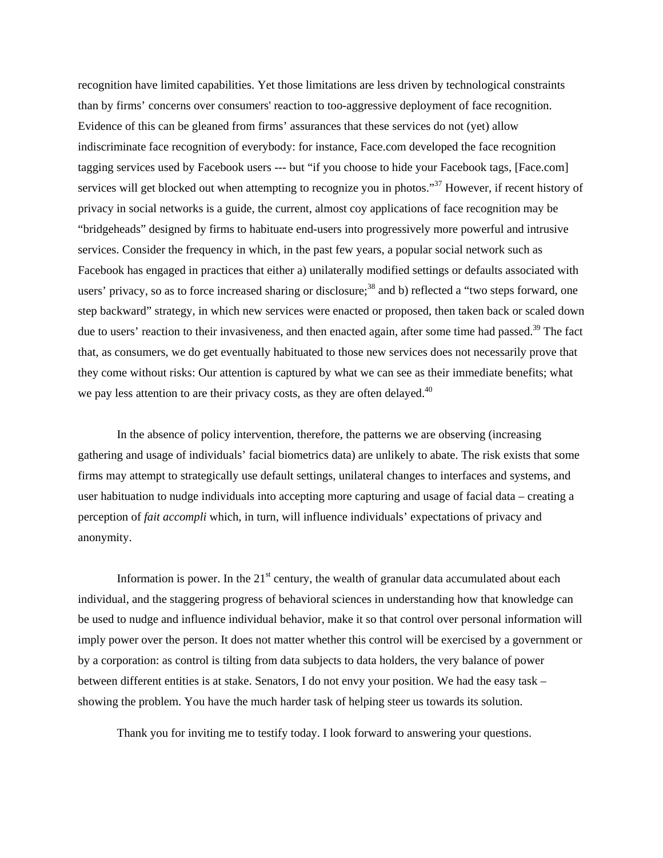recognition have limited capabilities. Yet those limitations are less driven by technological constraints than by firms' concerns over consumers' reaction to too-aggressive deployment of face recognition. Evidence of this can be gleaned from firms' assurances that these services do not (yet) allow indiscriminate face recognition of everybody: for instance, Face.com developed the face recognition tagging services used by Facebook users --- but "if you choose to hide your Facebook tags, [Face.com] services will get blocked out when attempting to recognize you in photos."<sup>37</sup> However, if recent history of privacy in social networks is a guide, the current, almost coy applications of face recognition may be "bridgeheads" designed by firms to habituate end-users into progressively more powerful and intrusive services. Consider the frequency in which, in the past few years, a popular social network such as Facebook has engaged in practices that either a) unilaterally modified settings or defaults associated with users' privacy, so as to force increased sharing or disclosure;<sup>38</sup> and b) reflected a "two steps forward, one step backward" strategy, in which new services were enacted or proposed, then taken back or scaled down due to users' reaction to their invasiveness, and then enacted again, after some time had passed.<sup>39</sup> The fact that, as consumers, we do get eventually habituated to those new services does not necessarily prove that they come without risks: Our attention is captured by what we can see as their immediate benefits; what we pay less attention to are their privacy costs, as they are often delayed.<sup>40</sup>

In the absence of policy intervention, therefore, the patterns we are observing (increasing gathering and usage of individuals' facial biometrics data) are unlikely to abate. The risk exists that some firms may attempt to strategically use default settings, unilateral changes to interfaces and systems, and user habituation to nudge individuals into accepting more capturing and usage of facial data – creating a perception of *fait accompli* which, in turn, will influence individuals' expectations of privacy and anonymity.

Information is power. In the  $21<sup>st</sup>$  century, the wealth of granular data accumulated about each individual, and the staggering progress of behavioral sciences in understanding how that knowledge can be used to nudge and influence individual behavior, make it so that control over personal information will imply power over the person. It does not matter whether this control will be exercised by a government or by a corporation: as control is tilting from data subjects to data holders, the very balance of power between different entities is at stake. Senators, I do not envy your position. We had the easy task – showing the problem. You have the much harder task of helping steer us towards its solution.

Thank you for inviting me to testify today. I look forward to answering your questions.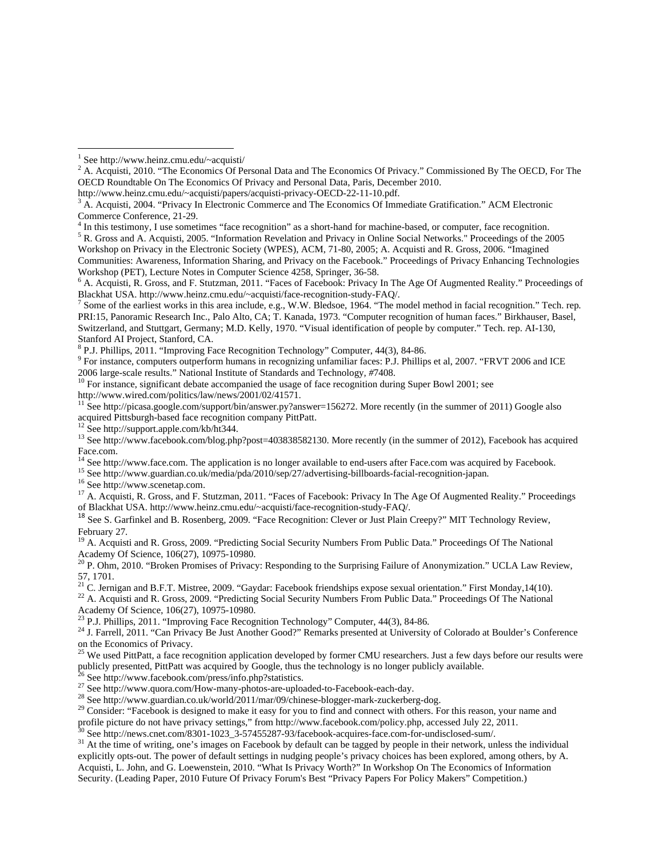<sup>4</sup> In this testimony, I use sometimes "face recognition" as a short-hand for machine-based, or computer, face recognition.<br><sup>5</sup> B. Cross and A. Agguistic 2005, "Information Bayelstian and Driveay in Opline Social Maty pel

<sup>5</sup> R. Gross and A. Acquisti, 2005. "Information Revelation and Privacy in Online Social Networks." Proceedings of the 2005 Workshop on Privacy in the Electronic Society (WPES), ACM, 71-80, 2005; A. Acquisti and R. Gross, 2006. "Imagined Communities: Awareness, Information Sharing, and Privacy on the Facebook." Proceedings of Privacy Enhancing Technologies Workshop (PET), Lecture Notes in Computer Science 4258, Springer, 36-58. 6

<sup>8</sup> P.J. Phillips, 2011. "Improving Face Recognition Technology" Computer, 44(3), 84-86.

<sup>9</sup> For instance, computers outperform humans in recognizing unfamiliar faces: P.J. Phillips et al, 2007. "FRVT 2006 and ICE

2006 large-scale results." National Institute of Standards and Technology, #7408.<br><sup>10</sup> For instance, significant debate accompanied the usage of face recognition during Super Bowl 2001; see<br>http://www.wired.com/politics/la

http://picasa.google.com/support/bin/answer.py?answer=156272. More recently (in the summer of 2011) Google also acquired Pittsburgh-based face recognition company PittPatt.<sup>12</sup> See http://support.apple.com/kb/ht344.

<sup>15</sup> See http://www.guardian.co.uk/media/pda/2010/sep/27/advertising-billboards-facial-recognition-japan.<br><sup>16</sup> See http://www.scenetap.com.<br><sup>17</sup> A. Acquisti, R. Gross, and F. Stutzman, 2011. "Faces of Facebook: Privacy In of Blackhat USA. http://www.heinz.cmu.edu/~acquisti/face-recognition-study-FAQ/.

<sup>18</sup> See S. Garfinkel and B. Rosenberg, 2009. "Face Recognition: Clever or Just Plain Creepy?" MIT Technology Review, February 27.

<sup>19</sup> A. Acquisti and R. Gross, 2009. "Predicting Social Security Numbers From Public Data." Proceedings Of The National Academy Of Science, 106(27), 10975-10980.

<sup>20</sup> P. Ohm, 2010. "Broken Promises of Privacy: Responding to the Surprising Failure of Anonymization." UCLA Law Review, 57, 1701.

<sup>21</sup> C. Jernigan and B.F.T. Mistree, 2009. "Gaydar: Facebook friendships expose sexual orientation." First Monday,14(10).<br><sup>22</sup> A. Acquisti and R. Gross, 2009. "Predicting Social Security Numbers From Public Data." Proceedi

Academy Of Science, 106(27), 10975-10980.

 $^{23}$  P.J. Phillips, 2011. "Improving Face Recognition Technology" Computer, 44(3), 84-86.

<sup>24</sup> J. Farrell, 2011. "Can Privacy Be Just Another Good?" Remarks presented at University of Colorado at Boulder's Conference on the Economics of Privacy.

<sup>25</sup> We used PittPatt, a face recognition application developed by former CMU researchers. Just a few days before our results were publicly presented, PittPatt was acquired by Google, thus the technology is no longer publicly available.<br><sup>26</sup> See http://www.facebook.com/press/info.php?statistics.<br><sup>27</sup> See http://www.quora.com/How-many-photos-are-upload

profile picture do not have privacy settings," from http://www.facebook.com/policy.php, accessed July 22, 2011.<br><sup>30</sup> See http://news.cnet.com/8301-1023\_3-57455287-93/facebook-acquires-face.com-for-undisclosed-sum/.<br><sup>31</sup> At

explicitly opts-out. The power of default settings in nudging people's privacy choices has been explored, among others, by A. Acquisti, L. John, and G. Loewenstein, 2010. "What Is Privacy Worth?" In Workshop On The Economics of Information Security. (Leading Paper, 2010 Future Of Privacy Forum's Best "Privacy Papers For Policy Makers" Competition.)

 <sup>1</sup> See http://www.heinz.cmu.edu/~acquisti/<br> $2^2$  A. Acquisti, 2010. "The Economics Of Bo

<sup>&</sup>lt;sup>2</sup> A. Acquisti, 2010. "The Economics Of Personal Data and The Economics Of Privacy." Commissioned By The OECD, For The OECD Roundtable On The Economics Of Privacy and Personal Data, Paris, December 2010.

http://www.heinz.cmu.edu/~acquisti/papers/acquisti-privacy-OECD-22-11-10.pdf. 3

 ${}^{3}$  A. Acquisti, 2004. "Privacy In Electronic Commerce and The Economics Of Immediate Gratification." ACM Electronic Commerce Conference, 21-29.

<sup>&</sup>lt;sup>6</sup> A. Acquisti, R. Gross, and F. Stutzman, 2011. "Faces of Facebook: Privacy In The Age Of Augmented Reality." Proceedings of Blackhat USA. http://www.heinz.cmu.edu/~acquisti/face-recognition-study-FAQ/. 7

 $^7$  Some of the earliest works in this area include, e.g., W.W. Bledsoe, 1964. "The model method in facial recognition." Tech. rep. PRI:15, Panoramic Research Inc., Palo Alto, CA; T. Kanada, 1973. "Computer recognition of human faces." Birkhauser, Basel, Switzerland, and Stuttgart, Germany; M.D. Kelly, 1970. "Visual identification of people by computer." Tech. rep. AI-130, Stanford AI Project, Stanford, CA.

<sup>&</sup>lt;sup>13</sup> See http://www.facebook.com/blog.php?post=403838582130. More recently (in the summer of 2012), Facebook has acquired Face.com.<br><sup>14</sup> See http://www.face.com. The application is no longer available to end-users after Face.com was acquired by Facebook.